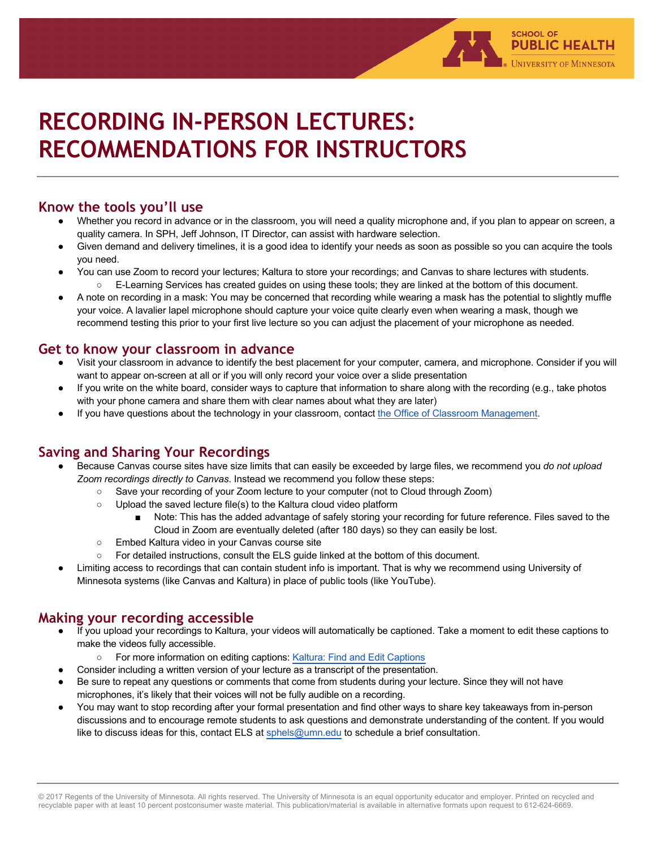

### **Know the tools you'll use**

● Whether you record in advance or in the classroom, you will need a quality microphone and, if you plan to appear on screen, a quality camera. In SPH, Jeff Johnson, IT Director, can assist with hardware selection.

**SCHOOL OF** 

**PUBLIC HEALTH UNIVERSITY OF MINNESOTA** 

- Given demand and delivery timelines, it is a good idea to identify your needs as soon as possible so you can acquire the tools you need.
- You can use Zoom to record your lectures; Kaltura to store your recordings; and Canvas to share lectures with students. ○ E-Learning Services has created quides on using these tools; they are linked at the bottom of this document.
- A note on recording in a mask: You may be concerned that recording while wearing a mask has the potential to slightly muffle your voice. A lavalier lapel microphone should capture your voice quite clearly even when wearing a mask, though we recommend testing this prior to your first live lecture so you can adjust the placement of your microphone as needed.

#### **Get to know your classroom in advance**

- Visit your classroom in advance to identify the best placement for your computer, camera, and microphone. Consider if you will want to appear on-screen at all or if you will only record your voice over a slide presentation
- If you write on the white board, consider ways to capture that information to share along with the recording (e.g., take photos with your phone camera and share them with clear names about what they are later)
- If you have questions about the technology in your classroom, contact the Office of Classroom Management.

### **Saving and Sharing Your Recordings**

- Because Canvas course sites have size limits that can easily be exceeded by large files, we recommend you *do not upload Zoom recordings directly to Canvas*. Instead we recommend you follow these steps:
	- Save your recording of your Zoom lecture to your computer (not to Cloud through Zoom)
		- Upload the saved lecture file(s) to the Kaltura cloud video platform
			- Note: This has the added advantage of safely storing your recording for future reference. Files saved to the Cloud in Zoom are eventually deleted (after 180 days) so they can easily be lost.
		- Embed Kaltura video in your Canvas course site
		- For detailed instructions, consult the ELS guide linked at the bottom of this document.
- Limiting access to recordings that can contain student info is important. That is why we recommend using University of Minnesota systems (like Canvas and Kaltura) in place of public tools (like YouTube).

#### **Making your recording accessible**

- If you upload your recordings to Kaltura, your videos will automatically be captioned. Take a moment to edit these captions to make the videos fully accessible.
	- For more information on editing captions: Kaltura: Find and Edit Captions
- Consider including a written version of your lecture as a transcript of the presentation.
- Be sure to repeat any questions or comments that come from students during your lecture. Since they will not have microphones, it's likely that their voices will not be fully audible on a recording.
- You may want to stop recording after your formal presentation and find other ways to share key takeaways from in-person discussions and to encourage remote students to ask questions and demonstrate understanding of the content. If you would like to discuss ideas for this, contact ELS at sphels[@umn.edu](mailto:sphels@umn.edu) to schedule a brief consultation.